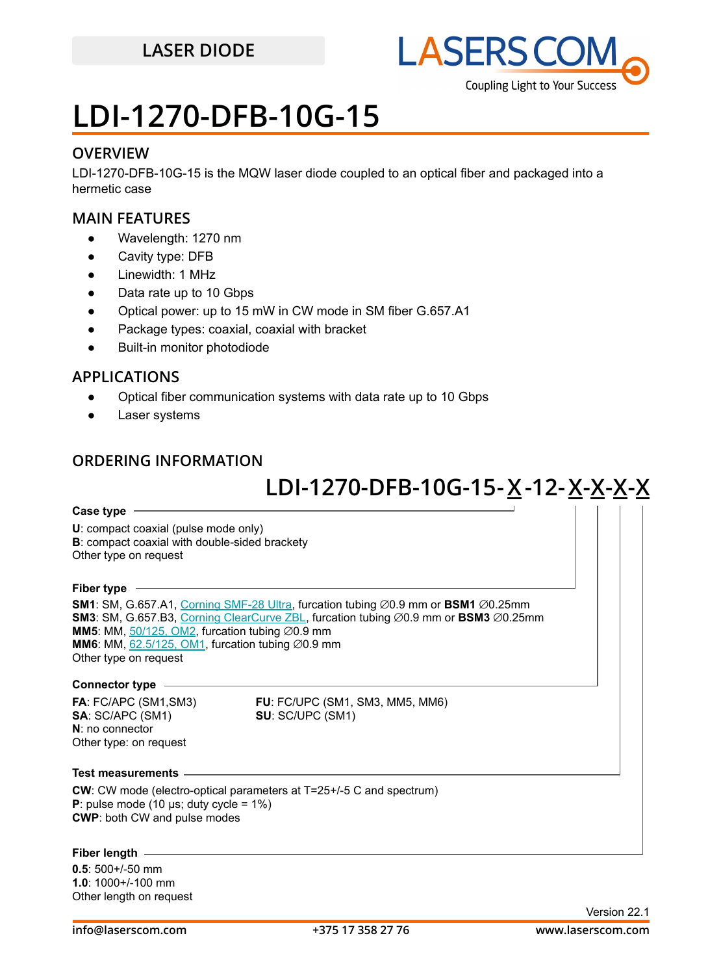

## **LDI-1270-DFB-10G-15**

#### **OVERVIEW**

LDI-1270-DFB-10G-15 is the MQW laser diode coupled to an optical fiber and packaged into a hermetic case

#### **MAIN FEATURES**

- Wavelength: 1270 nm
- Cavity type: DFB
- Linewidth: 1 MHz
- Data rate up to 10 Gbps
- Optical power: up to 15 mW in CW mode in SM fiber G.657.A1
- Package types: coaxial, coaxial with bracket
- **Built-in monitor photodiode**

### **APPLICATIONS**

- Optical fiber communication systems with data rate up to 10 Gbps
- Laser systems

### **ORDERING INFORMATION**

## **LDI-1270-DFB-10G-15 -X 12-X-X-X-X -**

#### **Case type**

**U**: compact coaxial (pulse mode only) **B**: compact coaxial with double-sided brackety Other type on request

#### **Fiber type**

**SM1**: SM, G.657.A1, [Corning SMF-28 Ultra](https://drive.google.com/file/d/1JeMdVLHUIGFdzKdBnzaeOmjsa81S284f/view?usp=sharing), furcation tubing ⌀0.9 mm or **BSM1** ⌀0.25mm **SM3**: SM, G.657.B3, [Corning ClearCurve ZBL](https://drive.google.com/file/d/1BnScs4F0ApGayHF4MQJvm8phLaEPHUV0/view?usp=sharing), furcation tubing ⌀0.9 mm or **BSM3** ⌀0.25mm **MM5**: MM,  $50/125$ , OM2, furcation tubing  $\varnothing$ 0.9 mm **MM6**: MM,  $62.5/125$ , OM1, furcation tubing  $\emptyset$ 0.9 mm Other type on request

#### **Connector type**

**SA**: SC/APC (SM1) **SU**: SC/UPC (SM1) **N**: no connector Other type: on request

**FA**: FC/APC (SM1,SM3) **FU**: FC/UPC (SM1, SM3, MM5, MM6)

#### **Test measurements**

**CW**: CW mode (electro-optical parameters at T=25+/-5 C and spectrum) **P**: pulse mode (10  $\mu$ s; duty cycle = 1%) **CWP**: both CW and pulse modes

#### **Fiber length**

**0.5**: 500+/-50 mm **1.0**: 1000+/-100 mm Other length on request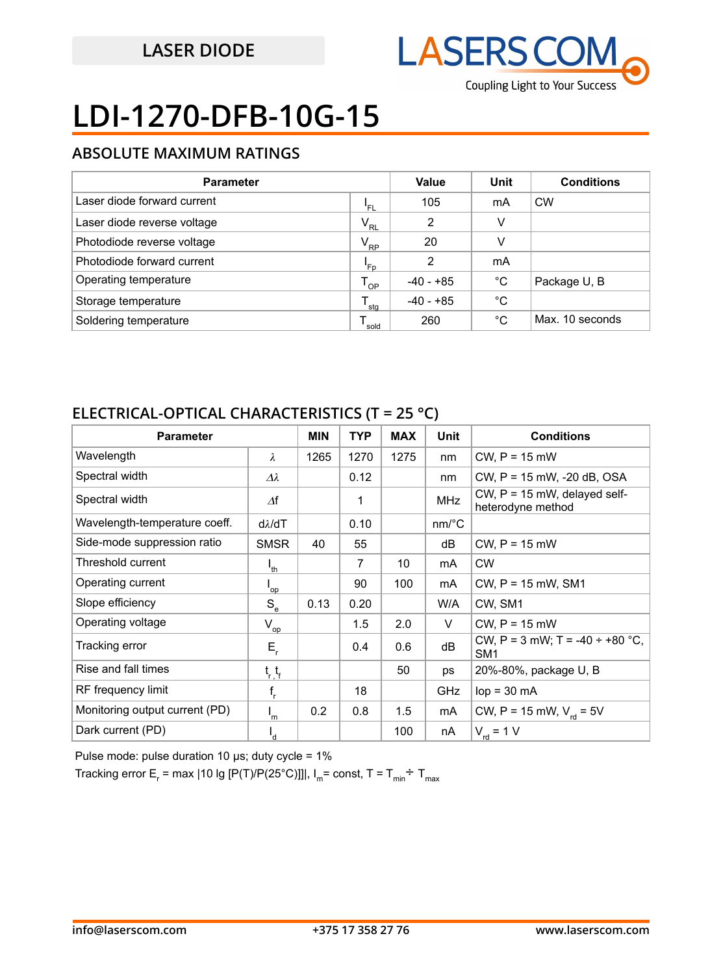

# **LDI-1270-DFB-10G-15**

### **ABSOLUTE MAXIMUM RATINGS**

| <b>Parameter</b>            |                  | Value       | Unit | <b>Conditions</b> |
|-----------------------------|------------------|-------------|------|-------------------|
| Laser diode forward current | 'FL              | 105         | mA   | <b>CW</b>         |
| Laser diode reverse voltage | $V_{RL}$         | 2           | v    |                   |
| Photodiode reverse voltage  | $V_{RP}$         | 20          | v    |                   |
| Photodiode forward current  | 'Fp              | 2           | mA   |                   |
| Operating temperature       | $T_{OP}$         | -40 - +85   | °C   | Package U, B      |
| Storage temperature         | $^{\bullet}$ stg | $-40 - +85$ | °C   |                   |
| Soldering temperature       | sold             | 260         | °C   | Max. 10 seconds   |

### **ELECTRICAL-OPTICAL CHARACTERISTICS (T = 25 °C)**

| <b>Parameter</b>               |                   | <b>MIN</b> | <b>TYP</b>     | <b>MAX</b> | <b>Unit</b>           | <b>Conditions</b>                                       |
|--------------------------------|-------------------|------------|----------------|------------|-----------------------|---------------------------------------------------------|
| Wavelength                     | $\lambda$         | 1265       | 1270           | 1275       | nm                    | $CW$ , $P = 15$ mW                                      |
| Spectral width                 | $\Delta\lambda$   |            | 0.12           |            | nm                    | CW, P = 15 mW, -20 dB, OSA                              |
| Spectral width                 | $\varDelta f$     |            | 1              |            | <b>MHz</b>            | CW, $P = 15$ mW, delayed self-<br>heterodyne method     |
| Wavelength-temperature coeff.  | $d\lambda/dT$     |            | 0.10           |            | $nm$ <sup>o</sup> $C$ |                                                         |
| Side-mode suppression ratio    | <b>SMSR</b>       | 40         | 55             |            | dB                    | $CW, P = 15$ mW                                         |
| Threshold current              | $I_{th}$          |            | $\overline{7}$ | 10         | mA                    | <b>CW</b>                                               |
| Operating current              | 'op               |            | 90             | 100        | mA                    | $CW$ , $P = 15$ mW, SM1                                 |
| Slope efficiency               | $S_e$             | 0.13       | 0.20           |            | W/A                   | CW, SM1                                                 |
| Operating voltage              | $V_{op}$          |            | 1.5            | 2.0        | V                     | $CW$ , $P = 15$ mW                                      |
| Tracking error                 | $E_{\rm r}$       |            | 0.4            | 0.6        | dB                    | CW, P = 3 mW; T = -40 $\div$ +80 °C,<br>SM <sub>1</sub> |
| Rise and fall times            | $t_{r}$ , $t_{r}$ |            |                | 50         | ps                    | 20%-80%, package U, B                                   |
| RF frequency limit             | $f_r$             |            | 18             |            | <b>GHz</b>            | $lop = 30 mA$                                           |
| Monitoring output current (PD) | $I_m$             | 0.2        | 0.8            | 1.5        | mA                    | CW, P = 15 mW, $V_{rel}$ = 5V                           |
| Dark current (PD)              | $I_{d}$           |            |                | 100        | nA                    | $V_{\text{rd}}$ = 1 V                                   |

Pulse mode: pulse duration 10  $\mu$ s; duty cycle = 1%

Tracking error E<sub>r</sub> = max |10 lg [P(T)/P(25°C)]]|, I<sub>m</sub>= const, T = T<sub>min</sub>÷ T<sub>max</sub>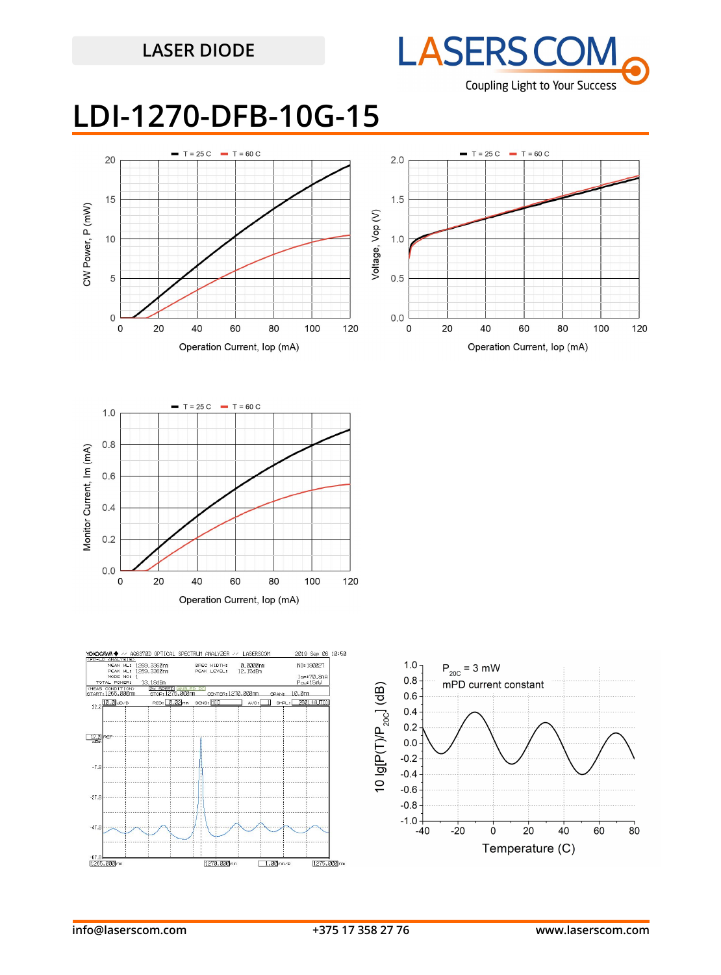

## **LDI-1270-DFB-10G-15**







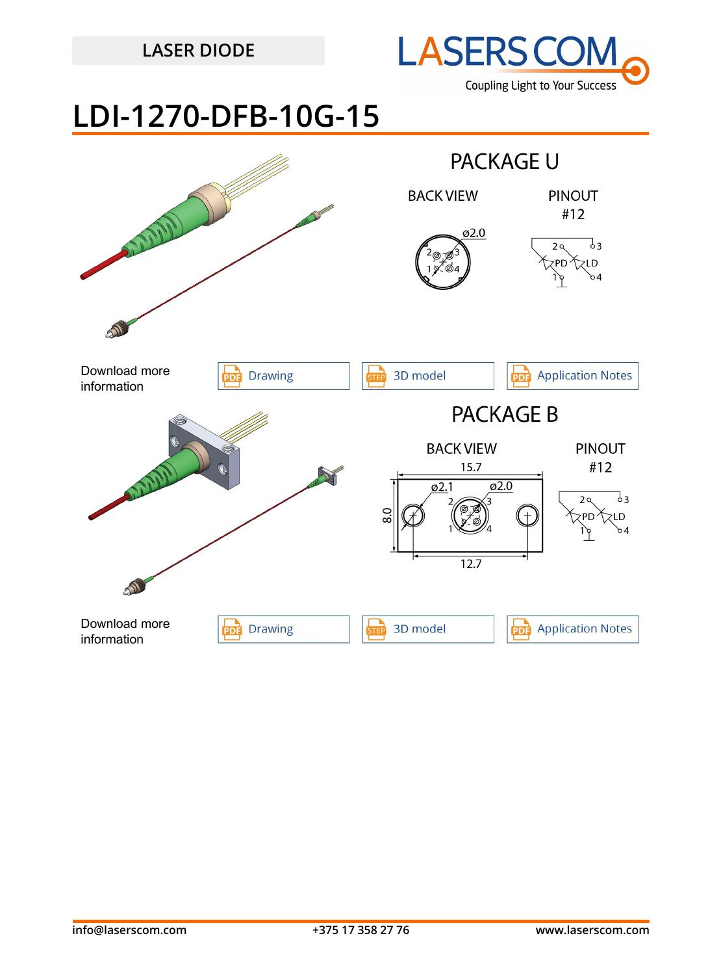

## **LDI-1270-DFB-10G-15**